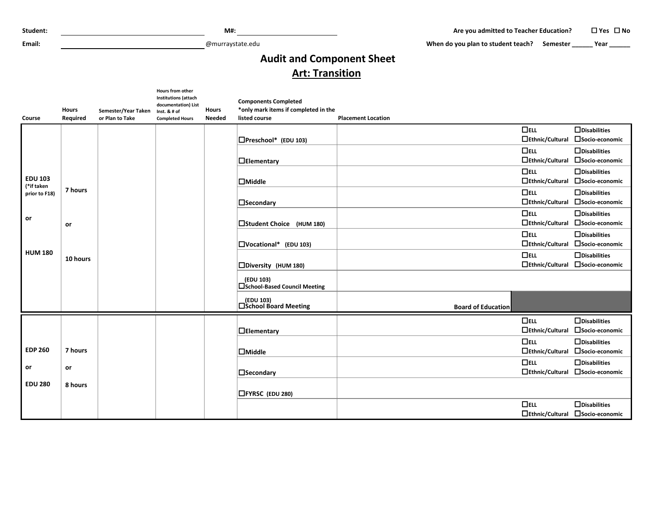**Email:** @murraystate.edu

When do you plan to student teach? Semester **\_\_\_\_\_** Year \_\_\_\_\_\_

## **Audit and Component Sheet Art: Transition**

|                | <b>Hours</b> | Semester/Year Taken | Hours from other<br><b>Institutions (attach</b><br>documentation) List<br>Inst. & # of | <b>Hours</b>  | <b>Components Completed</b><br>*only mark items if completed in the |                           |                                                |                                                         |
|----------------|--------------|---------------------|----------------------------------------------------------------------------------------|---------------|---------------------------------------------------------------------|---------------------------|------------------------------------------------|---------------------------------------------------------|
| <b>Course</b>  | Required     | or Plan to Take     | <b>Completed Hours</b>                                                                 | <b>Needed</b> | listed course                                                       | <b>Placement Location</b> |                                                |                                                         |
|                |              |                     |                                                                                        |               |                                                                     |                           | $\Box$ ELL<br>□Ethnic/Cultural □Socio-economic | $\Box$ Disabilities                                     |
|                |              |                     |                                                                                        |               | $\Box$ Preschool* (EDU 103)                                         |                           |                                                |                                                         |
|                |              |                     |                                                                                        |               |                                                                     |                           | $\Box$ ELL                                     | $\Box$ Disabilities<br>□Socio-economic                  |
|                |              |                     |                                                                                        |               | $\Box$ Elementary                                                   |                           | $\Box$ Ethnic/Cultural                         |                                                         |
| <b>EDU 103</b> |              |                     |                                                                                        |               |                                                                     |                           | $\Box$ ELL                                     | $\Box$ Disabilities                                     |
| (*if taken     | 7 hours      |                     |                                                                                        |               | $\Box$ Middle                                                       |                           | □Ethnic/Cultural □Socio-economic               |                                                         |
| prior to F18)  |              |                     |                                                                                        |               |                                                                     |                           | $\Box$ ELL<br>□Ethnic/Cultural □Socio-economic | $\Box$ Disabilities                                     |
|                |              |                     |                                                                                        |               | $\square$ Secondary                                                 |                           |                                                |                                                         |
| or             |              |                     |                                                                                        |               |                                                                     |                           | $\Box$ ELL<br>□Ethnic/Cultural □Socio-economic | $\Box$ Disabilities                                     |
|                | <b>or</b>    |                     |                                                                                        |               | □Student Choice (HUM 180)                                           |                           |                                                |                                                         |
|                |              |                     |                                                                                        |               |                                                                     |                           | $\Box$ ELL<br>□Ethnic/Cultural □Socio-economic | $\Box$ Disabilities                                     |
| <b>HUM 180</b> |              |                     |                                                                                        |               | $\Box$ Vocational* (EDU 103)                                        |                           |                                                |                                                         |
|                | 10 hours     |                     |                                                                                        |               |                                                                     |                           | $\Box$ ELL                                     | $\Box$ Disabilities<br>□Ethnic/Cultural □Socio-economic |
|                |              |                     |                                                                                        |               | □Diversity (HUM 180)                                                |                           |                                                |                                                         |
|                |              |                     |                                                                                        |               | (EDU 103)<br>□School-Based Council Meeting                          |                           |                                                |                                                         |
|                |              |                     |                                                                                        |               | (EDU 103)<br>□School Board Meeting                                  | <b>Board of Education</b> |                                                |                                                         |
|                |              |                     |                                                                                        |               |                                                                     |                           | $\Box$ ELL                                     | $\Box$ Disabilities                                     |
|                |              |                     |                                                                                        |               | $\Box$ Elementary                                                   |                           | □Ethnic/Cultural □Socio-economic               |                                                         |
|                |              |                     |                                                                                        |               |                                                                     |                           | $\Box$ ELL                                     | $\Box$ Disabilities                                     |
| <b>EDP 260</b> | 7 hours      |                     |                                                                                        |               | $\Box$ Middle                                                       |                           |                                                | □Ethnic/Cultural □Socio-economic                        |
|                |              |                     |                                                                                        |               |                                                                     |                           | $\Box$ ELL                                     | $\Box$ Disabilities                                     |
| or             | <b>or</b>    |                     |                                                                                        |               | $\square$ Secondary                                                 |                           |                                                | □Ethnic/Cultural □Socio-economic                        |
| <b>EDU 280</b> | 8 hours      |                     |                                                                                        |               | □FYRSC (EDU 280)                                                    |                           |                                                |                                                         |
|                |              |                     |                                                                                        |               |                                                                     |                           | $\Box$ ELL                                     | $\Box$ Disabilities                                     |
|                |              |                     |                                                                                        |               |                                                                     |                           | □Ethnic/Cultural □Socio-economic               |                                                         |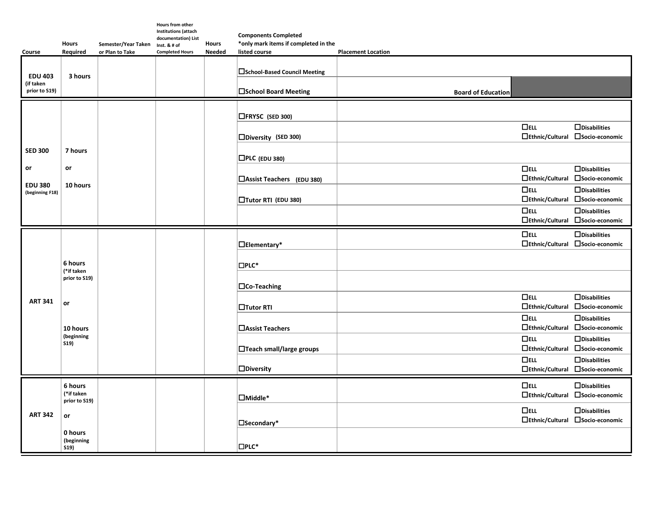|                                              | <b>Hours</b>                                                                          |                                        | Hours from other<br><b>Institutions (attach</b><br>documentation) List | <b>Hours</b>  | <b>Components Completed</b><br>*only mark items if completed in the |                           |                                      |                                                         |
|----------------------------------------------|---------------------------------------------------------------------------------------|----------------------------------------|------------------------------------------------------------------------|---------------|---------------------------------------------------------------------|---------------------------|--------------------------------------|---------------------------------------------------------|
| Course                                       | Required                                                                              | Semester/Year Taken<br>or Plan to Take | Inst. & # of<br><b>Completed Hours</b>                                 | <b>Needed</b> | listed course                                                       | <b>Placement Location</b> |                                      |                                                         |
| <b>EDU 403</b><br>(if taken<br>prior to S19) | 3 hours                                                                               |                                        |                                                                        |               | □School-Based Council Meeting<br>□School Board Meeting              | <b>Board of Education</b> |                                      |                                                         |
|                                              |                                                                                       |                                        |                                                                        |               |                                                                     |                           |                                      |                                                         |
|                                              |                                                                                       |                                        |                                                                        |               | □FRYSC (SED 300)                                                    |                           |                                      |                                                         |
|                                              |                                                                                       |                                        |                                                                        |               | □Diversity (SED 300)                                                |                           | $\Box$ ELL<br>$\Box$ Ethnic/Cultural | $\Box$ Disabilities<br>□Socio-economic                  |
| <b>SED 300</b>                               | 7 hours                                                                               |                                        |                                                                        |               | $\Box$ PLC (EDU 380)                                                |                           |                                      |                                                         |
| or                                           | or<br>10 hours                                                                        |                                        |                                                                        |               | □Assist Teachers (EDU 380)                                          |                           | $\Box$ ELL<br>□Ethnic/Cultural       | $\Box$ Disabilities<br>□Socio-economic                  |
| <b>EDU 380</b><br>(beginning F18)            |                                                                                       |                                        |                                                                        |               | □Tutor RTI (EDU 380)                                                |                           | $\Box$ ELL<br>$\Box$ Ethnic/Cultural | $\Box$ Disabilities<br>□Socio-economic                  |
|                                              |                                                                                       |                                        |                                                                        |               |                                                                     |                           | $\Box$ ELL<br>$\Box$ Ethnic/Cultural | $\Box$ Disabilities<br>□Socio-economic                  |
|                                              |                                                                                       |                                        |                                                                        |               |                                                                     |                           | $\Box$ ELL                           | $\Box$ Disabilities                                     |
|                                              | 6 hours<br>(*if taken<br>prior to S19)<br>or<br>10 hours<br>(beginning<br><b>S19)</b> |                                        |                                                                        |               | $\Box$ Elementary*                                                  |                           | $\Box$ Ethnic/Cultural               | □Socio-economic                                         |
|                                              |                                                                                       |                                        |                                                                        |               | $\square$ PLC*                                                      |                           |                                      |                                                         |
|                                              |                                                                                       |                                        |                                                                        |               | $\Box$ Co-Teaching                                                  |                           |                                      |                                                         |
| <b>ART 341</b>                               |                                                                                       |                                        |                                                                        |               | $\Box$ Tutor RTI                                                    |                           | $\Box$ ELL                           | $\Box$ Disabilities<br>□Ethnic/Cultural □Socio-economic |
|                                              |                                                                                       |                                        |                                                                        |               | <b>□Assist Teachers</b>                                             |                           | $\Box$ ELL<br>$\Box$ Ethnic/Cultural | $\Box$ Disabilities<br>□Socio-economic                  |
|                                              |                                                                                       |                                        |                                                                        |               | □Teach small/large groups                                           |                           | $\Box$ ELL<br>□Ethnic/Cultural       | $\Box$ Disabilities<br>□Socio-economic                  |
|                                              |                                                                                       |                                        |                                                                        |               | $\square$ Diversity                                                 |                           | $\Box$ ELL<br>$\Box$ Ethnic/Cultural | $\Box$ Disabilities<br>□Socio-economic                  |
|                                              |                                                                                       |                                        |                                                                        |               |                                                                     |                           |                                      |                                                         |
| <b>ART 342</b>                               | 6 hours<br>(*if taken<br>prior to S19)<br>or<br>0 hours<br>(beginning<br>S19)         |                                        |                                                                        |               | $\Box$ Middle*                                                      |                           | $\Box$ ELL<br>$\Box$ Ethnic/Cultural | $\Box$ Disabilities<br>□Socio-economic                  |
|                                              |                                                                                       |                                        |                                                                        |               | □Secondary*                                                         |                           | $\Box$ ELL<br>$\Box$ Ethnic/Cultural | $\Box$ Disabilities<br>□Socio-economic                  |
|                                              |                                                                                       |                                        |                                                                        |               | $\square$ PLC*                                                      |                           |                                      |                                                         |